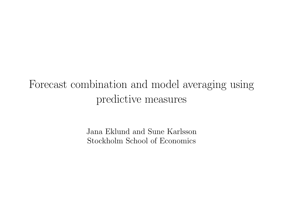# Forecast combination and model averaging using predictive measures

Jana Eklund and Sune Karlsson Stockholm School of Economics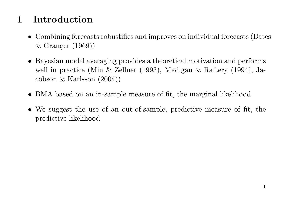## 1 Introduction

- Combining forecasts robustifies and improves on individual forecasts (Bates & Granger (1969))
- Bayesian model averaging provides a theoretical motivation and performs well in practice (Min & Zellner (1993), Madigan & Raftery (1994), Jacobson & Karlsson (2004))
- BMA based on an in-sample measure of fit, the marginal likelihood
- We suggest the use of an out-of-sample, predictive measure of fit, the predictive likelihood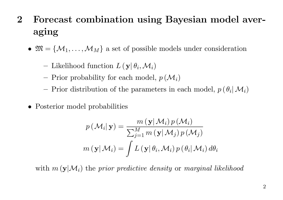- 2 Forecast combination using Bayesian model averaging
	- $\mathfrak{M} = \{M_1, \ldots, M_M\}$  a set of possible models under consideration
		- Likelihood function  $L(\mathbf{y}|\theta_i, \mathcal{M}_i)$
		- Prior probability for each model,  $p(\mathcal{M}_i)$
		- Prior distribution of the parameters in each model,  $p(\theta_i | \mathcal{M}_i)$
	- Posterior model probabilities

$$
p(\mathcal{M}_i|\mathbf{y}) = \frac{m(\mathbf{y}|\mathcal{M}_i) p(\mathcal{M}_i)}{\sum_{j=1}^M m(\mathbf{y}|\mathcal{M}_j) p(\mathcal{M}_j)}
$$

$$
m(\mathbf{y}|\mathcal{M}_i) = \int L(\mathbf{y}|\theta_i, \mathcal{M}_i) p(\theta_i|\mathcal{M}_i) d\theta_i
$$

with  $m(\mathbf{y}|\mathcal{M}_i)$  the prior predictive density or marginal likelihood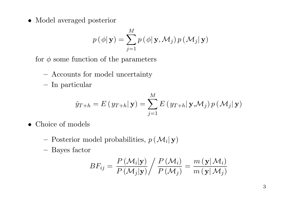• Model averaged posterior

$$
p(\phi | \mathbf{y}) = \sum_{j=1}^{M} p(\phi | \mathbf{y}, \mathcal{M}_j) p(\mathcal{M}_j | \mathbf{y})
$$

for  $\phi$  some function of the parameters

- Accounts for model uncertainty
- In particular

$$
\hat{y}_{T+h} = E(y_{T+h}|\mathbf{y}) = \sum_{j=1}^{M} E(y_{T+h}|\mathbf{y}, \mathcal{M}_j) p(\mathcal{M}_j|\mathbf{y})
$$

- Choice of models
	- Posterior model probabilities,  $p(\mathcal{M}_i|\mathbf{y})$
	- Bayes factor

$$
BF_{ij} = \frac{P(M_i|\mathbf{y})}{P(M_j|\mathbf{y})} / \frac{P(M_i)}{P(M_j)} = \frac{m(\mathbf{y}|M_i)}{m(\mathbf{y}|M_j)}
$$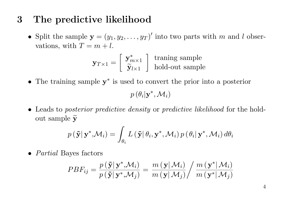#### 3 The predictive likelihood

• Split the sample  $\mathbf{y} = (y_1, y_2, \dots, y_T)'$  into two parts with m and l observations, with  $T = m + l$ .

$$
\mathbf{y}_{T\times 1} = \left[ \begin{array}{c} \mathbf{y}_{m\times 1}^* \\ \widetilde{\mathbf{y}}_{l\times 1} \end{array} \right] \begin{array}{c} \text{training sample} \\ \text{hold-out sample} \end{array}
$$

• The training sample y ∗ is used to convert the prior into a posterior

 $p(\theta_i|\mathbf{y}^*,\mathcal{M}_i)$ 

• Leads to *posterior predictive density* or *predictive likelihood* for the holdout sample  $\widetilde{\mathbf{y}}$ 

$$
p(\mathbf{\tilde{y}}|\mathbf{y}^*, \mathcal{M}_i) = \int_{\theta_i} L(\mathbf{\tilde{y}}|\theta_i, \mathbf{y}^*, \mathcal{M}_i) p(\theta_i|\mathbf{y}^*, \mathcal{M}_i) d\theta_i
$$

• *Partial* Bayes factors

$$
PBF_{ij} = \frac{p(\tilde{\mathbf{y}}|\mathbf{y}^*, \mathcal{M}_i)}{p(\tilde{\mathbf{y}}|\mathbf{y}^*, \mathcal{M}_j)} = \frac{m(\mathbf{y}|\mathcal{M}_i)}{m(\mathbf{y}|\mathcal{M}_j)} / \frac{m(\mathbf{y}^*|\mathcal{M}_i)}{m(\mathbf{y}^*|\mathcal{M}_j)}
$$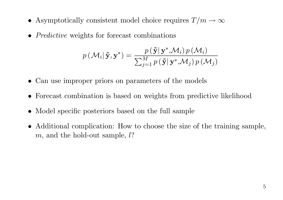- Asymptotically consistent model choice requires  $T/m \to \infty$
- *Predictive* weights for forecast combinations

$$
p(\mathcal{M}_i|\tilde{\mathbf{y}}, \mathbf{y}^*) = \frac{p(\tilde{\mathbf{y}}|\mathbf{y}^*, \mathcal{M}_i) p(\mathcal{M}_i)}{\sum_{j=1}^M p(\tilde{\mathbf{y}}|\mathbf{y}^*, \mathcal{M}_j) p(\mathcal{M}_j)}
$$

- Can use improper priors on parameters of the models
- Forecast combination is based on weights from predictive likelihood
- Model specific posteriors based on the full sample
- Additional complication: How to choose the size of the training sample,  $m$ , and the hold-out sample,  $l$ ?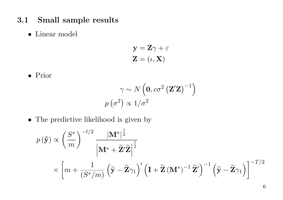- 3.1 Small sample results
	- Linear model

$$
\mathbf{y} = \mathbf{Z}\gamma + \varepsilon
$$

$$
\mathbf{Z} = (\iota, \mathbf{X})
$$

• Prior

$$
\gamma \sim N\left(\mathbf{0}, c\sigma^2 \left(\mathbf{Z}'\mathbf{Z}\right)^{-1}\right)
$$

$$
p\left(\sigma^2\right) \propto 1/\sigma^2
$$

• The predictive likelihood is given by

$$
p(\tilde{\mathbf{y}}) \propto \left(\frac{S^*}{m}\right)^{-l/2} \frac{|\mathbf{M}^*|^{\frac{1}{2}}}{\left|\mathbf{M}^* + \tilde{\mathbf{Z}}'\tilde{\mathbf{Z}}\right|^{\frac{1}{2}}} \times \left[m + \frac{1}{\left(S^*/m\right)} \left(\tilde{\mathbf{y}} - \tilde{\mathbf{Z}}\gamma_1\right)' \left(\mathbf{I} + \tilde{\mathbf{Z}}\left(\mathbf{M}^*\right)^{-1} \tilde{\mathbf{Z}}'\right)^{-1} \left(\tilde{\mathbf{y}} - \tilde{\mathbf{Z}}\gamma_1\right)\right]^{-T/2}
$$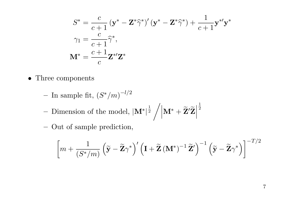$$
S^* = \frac{c}{c+1} (\mathbf{y}^* - \mathbf{Z}^* \hat{\gamma}^*)' (\mathbf{y}^* - \mathbf{Z}^* \hat{\gamma}^*) + \frac{1}{c+1} \mathbf{y}^{*'} \mathbf{y}^*
$$

$$
\gamma_1 = \frac{c}{c+1} \hat{\gamma}^*,
$$

$$
\mathbf{M}^* = \frac{c+1}{c} \mathbf{Z}^{*'} \mathbf{Z}^*
$$

- Three components
	- $-$  In sample fit,  $(S^*/m)^{-l/2}$
	- Dimension of the model,  $|\mathbf{M}^*|^{\frac{1}{2}} / |\mathbf{M}^* + \widetilde{\mathbf{Z}}'\widetilde{\mathbf{Z}}|$  $\frac{1}{2}$
	- Out of sample prediction,

$$
\left[m + \frac{1}{(S^*/m)}\left(\widetilde{\mathbf{y}} - \widetilde{\mathbf{Z}}\gamma^*\right)'\left(\mathbf{I} + \widetilde{\mathbf{Z}}\left(\mathbf{M}^*\right)^{-1}\widetilde{\mathbf{Z}}'\right)^{-1}\left(\widetilde{\mathbf{y}} - \widetilde{\mathbf{Z}}\gamma^*\right)\right]^{-T/2}
$$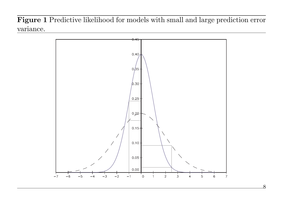Figure 1 Predictive likelihood for models with small and large prediction error variance.

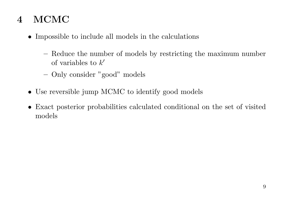## 4 MCMC

- Impossible to include all models in the calculations
	- Reduce the number of models by restricting the maximum number of variables to  $k'$
	- Only consider "good" models
- Use reversible jump MCMC to identify good models
- Exact posterior probabilities calculated conditional on the set of visited models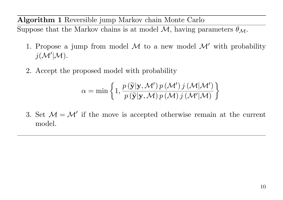Algorithm 1 Reversible jump Markov chain Monte Carlo

Suppose that the Markov chains is at model M, having parameters  $\theta_M$ .

- 1. Propose a jump from model  $\mathcal M$  to a new model  $\mathcal M'$  with probability  $j(M'|M)$ .
- 2. Accept the proposed model with probability

$$
\alpha = \min \left\{ 1, \frac{p(\widetilde{\mathbf{y}}|\mathbf{y}, \mathcal{M}') p(\mathcal{M}') j(\mathcal{M}|\mathcal{M}')}{p(\widetilde{\mathbf{y}}|\mathbf{y}, \mathcal{M}) p(\mathcal{M}) j(\mathcal{M}'|\mathcal{M})} \right\}
$$

3. Set  $\mathcal{M} = \mathcal{M}'$  if the move is accepted otherwise remain at the current model.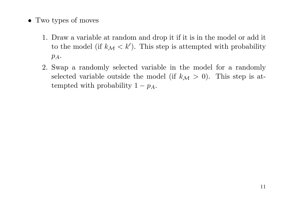- Two types of moves
	- 1. Draw a variable at random and drop it if it is in the model or add it to the model (if  $k_{\mathcal{M}} < k'$ ). This step is attempted with probability  $p_A$ .
	- 2. Swap a randomly selected variable in the model for a randomly selected variable outside the model (if  $k_{\mathcal{M}} > 0$ ). This step is attempted with probability  $1 - p_A$ .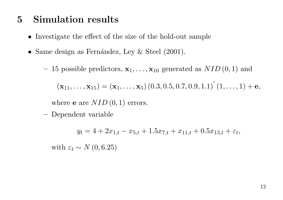#### 5 Simulation results

- Investigate the effect of the size of the hold-out sample
- Same design as Fernández, Ley  $&$  Steel (2001).
	- 15 possible predictors,  $\mathbf{x}_1, \ldots, \mathbf{x}_{10}$  generated as  $NID(0, 1)$  and

 $(\mathbf{x}_{11}, \ldots, \mathbf{x}_{15}) = (\mathbf{x}_1, \ldots, \mathbf{x}_5) (0.3, 0.5, 0.7, 0.9, 1.1)' (1, \ldots, 1) + \mathbf{e},$ 

where **e** are  $NID(0, 1)$  errors.

– Dependent variable

 $y_t = 4 + 2x_{1,t} - x_{5,t} + 1.5x_{7,t} + x_{11,t} + 0.5x_{13,t} + \varepsilon_t,$ 

with  $\varepsilon_t \sim N(0, 6.25)$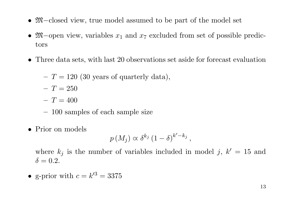- M−closed view, true model assumed to be part of the model set
- $\mathfrak{M}-$ open view, variables  $x_1$  and  $x_7$  excluded from set of possible predictors
- Three data sets, with last 20 observations set aside for forecast evaluation

$$
-T = 120
$$
 (30 years of quarterly data),

- $T = 250$
- $T = 400$
- 100 samples of each sample size
- Prior on models

$$
p(M_j) \propto \delta^{k_j} (1-\delta)^{k'-k_j},
$$

where  $k_j$  is the number of variables included in model j,  $k' = 15$  and  $\delta = 0.2$ .

• g-prior with  $c = k'^3 = 3375$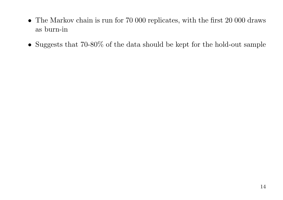- The Markov chain is run for 70 000 replicates, with the first 20 000 draws as burn-in
- Suggests that 70-80% of the data should be kept for the hold-out sample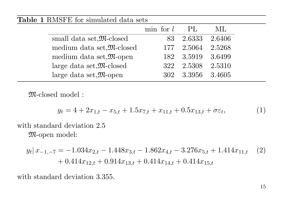#### Table 1 RMSFE for simulated data sets

|                                              | min for l | -PL               | ML.    |
|----------------------------------------------|-----------|-------------------|--------|
| small data set, M-closed                     | 83.       | 2.6333            | 2.6406 |
| medium data set, M-closed                    |           | 177 2.5064 2.5268 |        |
| medium data set, $\mathfrak{M}$ -open        |           | 182 3.5919 3.6499 |        |
| large data set, $\mathfrak{M}\text{-closed}$ | 322       | 2.5308            | 2.5310 |
| large data set, $\mathfrak{M}$ -open         | 302.      | 3.3956 3.4605     |        |

M-closed model :

$$
y_t = 4 + 2x_{1,t} - x_{5,t} + 1.5x_{7,t} + x_{11,t} + 0.5x_{13,t} + \sigma \varepsilon_t, \tag{1}
$$

with standard deviation 2.5 M-open model:

$$
y_t | x_{-1,-7} = -1.034 x_{2,t} - 1.448 x_{3,t} - 1.862 x_{4,t} - 3.276 x_{5,t} + 1.414 x_{11,t} \quad (2)
$$
  
+ 0.414 x\_{12,t} + 0.914 x\_{13,t} + 0.414 x\_{14,t} + 0.414 x\_{15,t}

with standard deviation 3.355.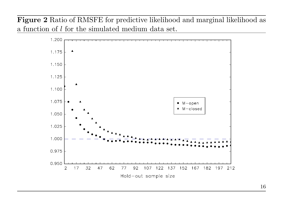Figure 2 Ratio of RMSFE for predictive likelihood and marginal likelihood as a function of l for the simulated medium data set.

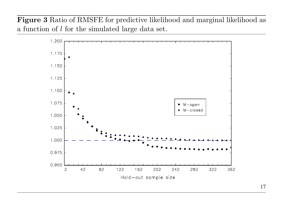Figure 3 Ratio of RMSFE for predictive likelihood and marginal likelihood as a function of l for the simulated large data set.

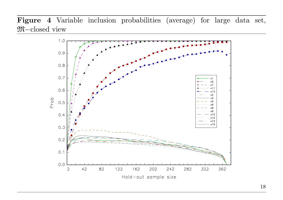Figure 4 Variable inclusion probabilities (average) for large data set, M−closed view

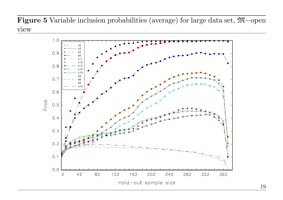Figure 5 Variable inclusion probabilities (average) for large data set, M−open view

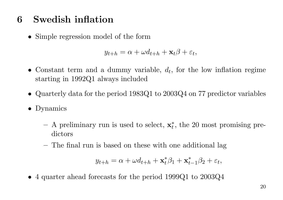### 6 Swedish inflation

• Simple regression model of the form

$$
y_{t+h} = \alpha + \omega d_{t+h} + \mathbf{x}_t \beta + \varepsilon_t,
$$

- Constant term and a dummy variable,  $d_t$ , for the low inflation regime starting in 1992Q1 always included
- Quarterly data for the period 1983Q1 to 2003Q4 on 77 predictor variables
- Dynamics
	- $-$  A preliminary run is used to select,  $\mathbf{x}_t^*$ , the 20 most promising predictors
	- The final run is based on these with one additional lag

$$
y_{t+h} = \alpha + \omega d_{t+h} + \mathbf{x}_t^* \beta_1 + \mathbf{x}_{t-1}^* \beta_2 + \varepsilon_t,
$$

• 4 quarter ahead forecasts for the period 1999Q1 to 2003Q4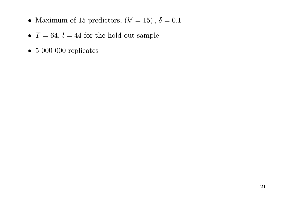- Maximum of 15 predictors,  $(k' = 15)$ ,  $\delta = 0.1$
- $T = 64$ ,  $l = 44$  for the hold-out sample
- 5 000 000 replicates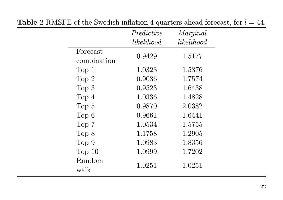|                         |            | <b>Table 2</b> K M S r & 01 the Swedish Inflation 4 quarters anead forecast, for $t = 44$ . |
|-------------------------|------------|---------------------------------------------------------------------------------------------|
|                         | Predictive | Marginal                                                                                    |
|                         | likelihood | likelihood                                                                                  |
| Forecast<br>combination | 0.9429     | 1.5177                                                                                      |
| Top 1                   | 1.0323     | 1.5376                                                                                      |
| Top 2                   | 0.9036     | 1.7574                                                                                      |
| Top 3                   | 0.9523     | 1.6438                                                                                      |
| Top 4                   | 1.0336     | 1.4828                                                                                      |
| Top 5                   | 0.9870     | 2.0382                                                                                      |
| Top <sub>6</sub>        | 0.9661     | 1.6441                                                                                      |
| Top 7                   | 1.0534     | 1.5755                                                                                      |
| Top 8                   | 1.1758     | 1.2905                                                                                      |
| Top 9                   | 1.0983     | 1.8356                                                                                      |
| Top $10$                | 1.0999     | 1.7202                                                                                      |
| Random<br>walk          | 1.0251     | 1.0251                                                                                      |

Table 2 RMSFE of the Swedish inflation 4 quarters ahead forecast, for  $l = 44$ .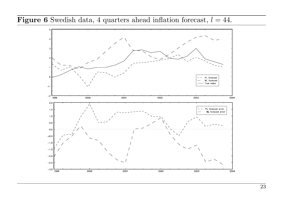**Figure 6** Swedish data, 4 quarters ahead inflation forecast,  $l = 44$ .

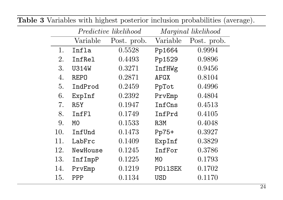|     |             | Predictive likelihood |                | Marginal likelihood |
|-----|-------------|-----------------------|----------------|---------------------|
|     | Variable    | Post. prob.           | Variable       | Post. prob.         |
| 1.  | Infla       | 0.5528                | Pp1664         | 0.9994              |
| 2.  | InfRel      | 0.4493                | Pp1529         | 0.9896              |
| 3.  | U314W       | 0.3271                | InfHWg         | 0.9456              |
| 4.  | <b>REPO</b> | 0.2871                | AFGX           | 0.8104              |
| 5.  | IndProd     | 0.2459                | PpTot          | 0.4996              |
| 6.  | ExpInf      | 0.2392                | PrvEmp         | 0.4804              |
| 7.  | R5Y         | 0.1947                | InfCns         | 0.4513              |
| 8.  | InfFl       | 0.1749                | InfPrd         | 0.4105              |
| 9.  | МO          | 0.1533                | R3M            | 0.4048              |
| 10. | InfUnd      | 0.1473                | Pp75+          | 0.3927              |
| 11. | LabFrc      | 0.1409                | ExpInf         | 0.3829              |
| 12. | NewHouse    | 0.1245                | InfFor         | 0.3786              |
| 13. | InfImpP     | 0.1225                | M <sub>0</sub> | 0.1793              |
| 14. | PrvEmp      | 0.1219                | POilSEK        | 0.1702              |
| 15. | PPP         | 0.1134                | USD            | 0.1170              |

Table 3 Variables with highest posterior inclusion probabilities (average).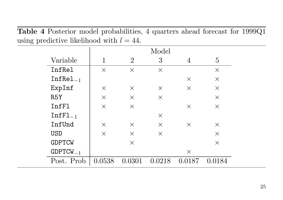Table 4 Posterior model probabilities, 4 quarters ahead forecast for 1999Q1 using predictive likelihood with  $l = 44$ .

|               |          |                | Model    |          |          |
|---------------|----------|----------------|----------|----------|----------|
| Variable      | 1        | $\overline{2}$ | 3        | 4        | 5        |
| InfRel        | $\times$ | $\times$       | $\times$ |          | $\times$ |
| $InfRel_{-1}$ |          |                |          | $\times$ | $\times$ |
| ExpInf        | $\times$ | $\times$       | $\times$ | $\times$ | $\times$ |
| R5Y           | $\times$ | $\times$       | $\times$ |          | $\times$ |
| InfF1         | $\times$ | $\times$       |          | $\times$ | $\times$ |
| $InfFI_{-1}$  |          |                | $\times$ |          |          |
| InfUnd        | $\times$ | $\times$       | $\times$ | $\times$ | $\times$ |
| USD           | $\times$ | $\times$       | $\times$ |          | $\times$ |
| <b>GDPTCW</b> |          | $\times$       |          |          | $\times$ |
| $GDPTCW_{-1}$ |          |                |          | $\times$ |          |
| Post. Prob.   | 0.0538   | 0.0301         | 0.0218   | 0.0187   | 0.0184   |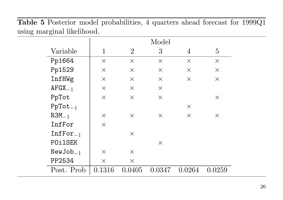Table 5 Posterior model probabilities, 4 quarters ahead forecast for 1999Q1 using marginal likelihood.

|                       |          |                | Model    |          |          |
|-----------------------|----------|----------------|----------|----------|----------|
| Variable              | 1        | $\overline{2}$ | 3        | 4        | 5        |
| Pp1664                | X        | $\times$       | X        | $\times$ | $\times$ |
| Pp1529                | $\times$ | $\times$       | $\times$ | $\times$ | $\times$ |
| InfHWg                | $\times$ | X              | $\times$ | $\times$ | $\times$ |
| $AFGX_{-1}$           | $\times$ | $\times$       | $\times$ |          |          |
| PpTot                 | $\times$ | $\times$       | $\times$ |          | $\times$ |
| $\mathtt{PpTot}_{-1}$ |          |                |          | $\times$ |          |
| $R3M_{-1}$            | $\times$ | $\times$       | $\times$ | $\times$ | $\times$ |
| InfFor                | $\times$ |                |          |          |          |
| $InfFor_{-1}$         |          | $\times$       |          |          |          |
| POilSEK               |          |                | X        |          |          |
| $NewJob_{-1}$         | $\times$ | $\times$       |          |          |          |
| PP2534                | $\times$ | $\times$       |          |          |          |
| Post. Prob.           | 0.1316   | 0.0405         | 0.0347   | 0.0264   | 0.0259   |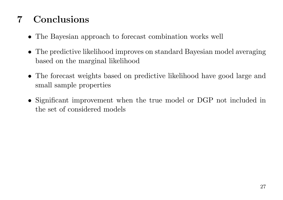## 7 Conclusions

- The Bayesian approach to forecast combination works well
- The predictive likelihood improves on standard Bayesian model averaging based on the marginal likelihood
- The forecast weights based on predictive likelihood have good large and small sample properties
- Significant improvement when the true model or DGP not included in the set of considered models